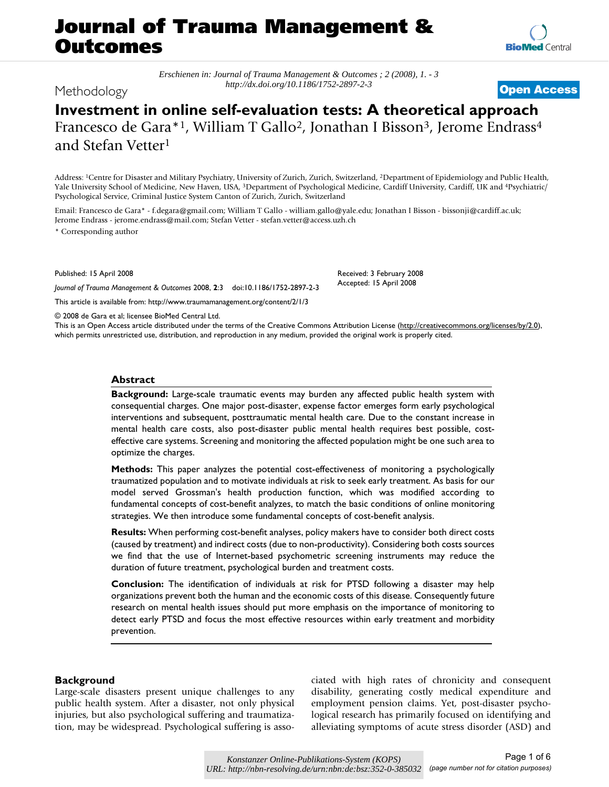# **Journal of Trauma Management & Outcomes**

**[BioMed](http://www.biomedcentral.com/)** Central

Methodology *IMP://ax.aot.org/10.1180/1/32-289/-2-3* **[Open Access](http://www.biomedcentral.com/info/about/charter/)** *Erschienen in: Journal of Trauma Management & Outcomes ; 2 (2008), 1. - 3 http://dx.doi.org/10.1186/1752-2897-2-3*

# **Investment in online self-evaluation tests: A theoretical approach** Francesco de Gara\*<sup>1</sup>, William T Gallo<sup>2</sup>, Jonathan I Bisson<sup>3</sup>, Jerome Endrass<sup>4</sup> and Stefan Vetter1

Address: 1Centre for Disaster and Military Psychiatry, University of Zurich, Zurich, Switzerland, 2Department of Epidemiology and Public Health, Yale University School of Medicine, New Haven, USA, 3Department of Psychological Medicine, Cardiff University, Cardiff, UK and 4Psychiatric/ Psychological Service, Criminal Justice System Canton of Zurich, Zurich, Switzerland

Email: Francesco de Gara\* - f.degara@gmail.com; William T Gallo - william.gallo@yale.edu; Jonathan I Bisson - bissonji@cardiff.ac.uk; Jerome Endrass - jerome.endrass@mail.com; Stefan Vetter - stefan.vetter@access.uzh.ch

\* Corresponding author

Published: 15 April 2008

*Journal of Trauma Management & Outcomes* 2008, **2**:3 doi:10.1186/1752-2897-2-3 [This article is available from: http://www.traumamanagement.org/content/2/1/3](http://www.traumamanagement.org/content/2/1/3)

© 2008 de Gara et al; licensee BioMed Central Ltd.

This is an Open Access article distributed under the terms of the Creative Commons Attribution License [\(http://creativecommons.org/licenses/by/2.0\)](http://creativecommons.org/licenses/by/2.0), which permits unrestricted use, distribution, and reproduction in any medium, provided the original work is properly cited.

Received: 3 February 2008 Accepted: 15 April 2008

# **Abstract**

**Background:** Large-scale traumatic events may burden any affected public health system with consequential charges. One major post-disaster, expense factor emerges form early psychological interventions and subsequent, posttraumatic mental health care. Due to the constant increase in mental health care costs, also post-disaster public mental health requires best possible, costeffective care systems. Screening and monitoring the affected population might be one such area to optimize the charges.

**Methods:** This paper analyzes the potential cost-effectiveness of monitoring a psychologically traumatized population and to motivate individuals at risk to seek early treatment. As basis for our model served Grossman's health production function, which was modified according to fundamental concepts of cost-benefit analyzes, to match the basic conditions of online monitoring strategies. We then introduce some fundamental concepts of cost-benefit analysis.

**Results:** When performing cost-benefit analyses, policy makers have to consider both direct costs (caused by treatment) and indirect costs (due to non-productivity). Considering both costs sources we find that the use of Internet-based psychometric screening instruments may reduce the duration of future treatment, psychological burden and treatment costs.

**Conclusion:** The identification of individuals at risk for PTSD following a disaster may help organizations prevent both the human and the economic costs of this disease. Consequently future research on mental health issues should put more emphasis on the importance of monitoring to detect early PTSD and focus the most effective resources within early treatment and morbidity prevention.

# **Background**

Large-scale disasters present unique challenges to any public health system. After a disaster, not only physical injuries, but also psychological suffering and traumatization, may be widespread. Psychological suffering is associated with high rates of chronicity and consequent disability, generating costly medical expenditure and employment pension claims. Yet, post-disaster psychological research has primarily focused on identifying and alleviating symptoms of acute stress disorder (ASD) and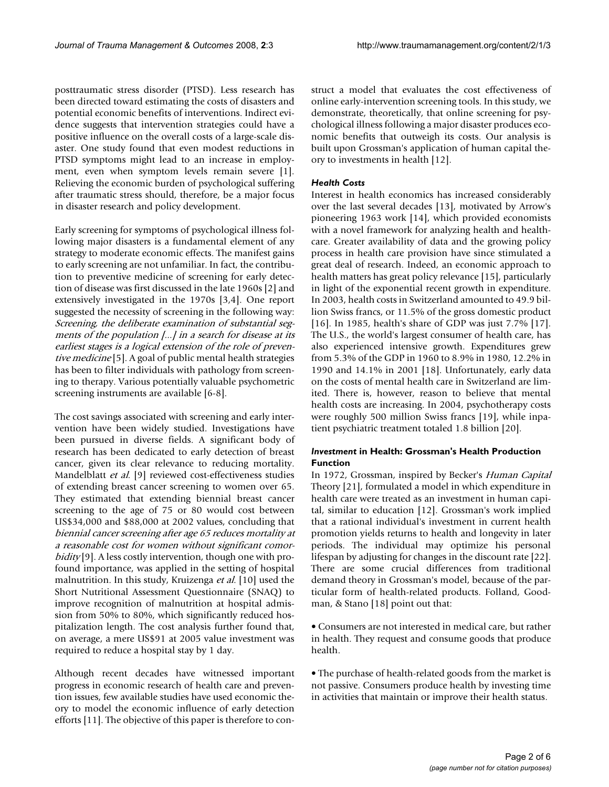posttraumatic stress disorder (PTSD). Less research has been directed toward estimating the costs of disasters and potential economic benefits of interventions. Indirect evidence suggests that intervention strategies could have a positive influence on the overall costs of a large-scale disaster. One study found that even modest reductions in PTSD symptoms might lead to an increase in employment, even when symptom levels remain severe [1]. Relieving the economic burden of psychological suffering after traumatic stress should, therefore, be a major focus in disaster research and policy development.

Early screening for symptoms of psychological illness following major disasters is a fundamental element of any strategy to moderate economic effects. The manifest gains to early screening are not unfamiliar. In fact, the contribution to preventive medicine of screening for early detection of disease was first discussed in the late 1960s [2] and extensively investigated in the 1970s [3,4]. One report suggested the necessity of screening in the following way: Screening, the deliberate examination of substantial segments of the population [...] in a search for disease at its earliest stages is a logical extension of the role of preventive medicine [5]. A goal of public mental health strategies has been to filter individuals with pathology from screening to therapy. Various potentially valuable psychometric screening instruments are available [6-8].

The cost savings associated with screening and early intervention have been widely studied. Investigations have been pursued in diverse fields. A significant body of research has been dedicated to early detection of breast cancer, given its clear relevance to reducing mortality. Mandelblatt et al. [9] reviewed cost-effectiveness studies of extending breast cancer screening to women over 65. They estimated that extending biennial breast cancer screening to the age of 75 or 80 would cost between US\$34,000 and \$88,000 at 2002 values, concluding that biennial cancer screening after age 65 reduces mortality at a reasonable cost for women without significant comorbidity [9]. A less costly intervention, though one with profound importance, was applied in the setting of hospital malnutrition. In this study, Kruizenga et al. [10] used the Short Nutritional Assessment Questionnaire (SNAQ) to improve recognition of malnutrition at hospital admission from 50% to 80%, which significantly reduced hospitalization length. The cost analysis further found that, on average, a mere US\$91 at 2005 value investment was required to reduce a hospital stay by 1 day.

Although recent decades have witnessed important progress in economic research of health care and prevention issues, few available studies have used economic theory to model the economic influence of early detection efforts [11]. The objective of this paper is therefore to construct a model that evaluates the cost effectiveness of online early-intervention screening tools. In this study, we demonstrate, theoretically, that online screening for psychological illness following a major disaster produces economic benefits that outweigh its costs. Our analysis is built upon Grossman's application of human capital theory to investments in health [12].

# *Health Costs*

Interest in health economics has increased considerably over the last several decades [13], motivated by Arrow's pioneering 1963 work [14], which provided economists with a novel framework for analyzing health and healthcare. Greater availability of data and the growing policy process in health care provision have since stimulated a great deal of research. Indeed, an economic approach to health matters has great policy relevance [15], particularly in light of the exponential recent growth in expenditure. In 2003, health costs in Switzerland amounted to 49.9 billion Swiss francs, or 11.5% of the gross domestic product [16]. In 1985, health's share of GDP was just 7.7% [17]. The U.S., the world's largest consumer of health care, has also experienced intensive growth. Expenditures grew from 5.3% of the GDP in 1960 to 8.9% in 1980, 12.2% in 1990 and 14.1% in 2001 [18]. Unfortunately, early data on the costs of mental health care in Switzerland are limited. There is, however, reason to believe that mental health costs are increasing. In 2004, psychotherapy costs were roughly 500 million Swiss francs [19], while inpatient psychiatric treatment totaled 1.8 billion [20].

# *Investment* **in Health: Grossman's Health Production Function**

In 1972, Grossman, inspired by Becker's Human Capital Theory [21], formulated a model in which expenditure in health care were treated as an investment in human capital, similar to education [12]. Grossman's work implied that a rational individual's investment in current health promotion yields returns to health and longevity in later periods. The individual may optimize his personal lifespan by adjusting for changes in the discount rate [22]. There are some crucial differences from traditional demand theory in Grossman's model, because of the particular form of health-related products. Folland, Goodman, & Stano [18] point out that:

• Consumers are not interested in medical care, but rather in health. They request and consume goods that produce health.

• The purchase of health-related goods from the market is not passive. Consumers produce health by investing time in activities that maintain or improve their health status.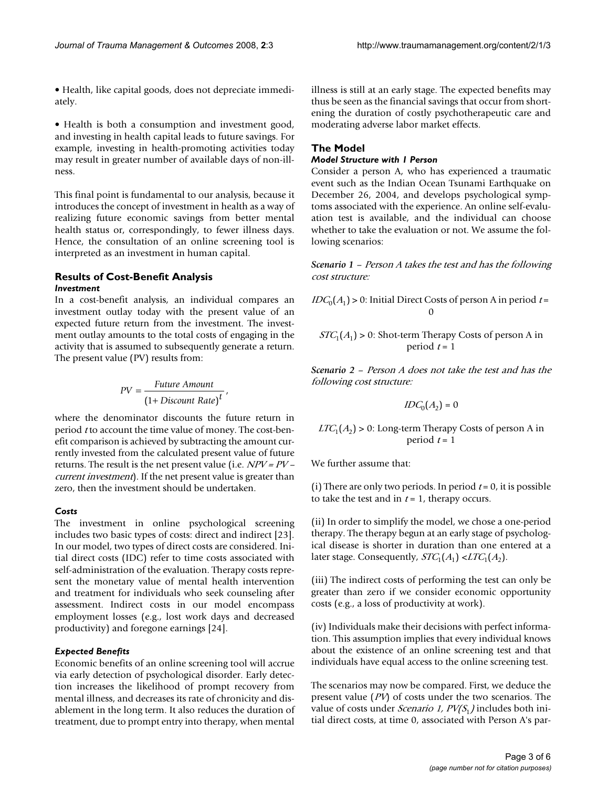• Health, like capital goods, does not depreciate immediately.

• Health is both a consumption and investment good, and investing in health capital leads to future savings. For example, investing in health-promoting activities today may result in greater number of available days of non-illness.

This final point is fundamental to our analysis, because it introduces the concept of investment in health as a way of realizing future economic savings from better mental health status or, correspondingly, to fewer illness days. Hence, the consultation of an online screening tool is interpreted as an investment in human capital.

# **Results of Cost-Benefit Analysis** *Investment*

In a cost-benefit analysis, an individual compares an investment outlay today with the present value of an expected future return from the investment. The investment outlay amounts to the total costs of engaging in the activity that is assumed to subsequently generate a return. The present value (PV) results from:

$$
PV = \frac{Future\,Amount}{(1+Discount\ Rate)}t,
$$

where the denominator discounts the future return in period t to account the time value of money. The cost-benefit comparison is achieved by subtracting the amount currently invested from the calculated present value of future returns. The result is the net present value (i.e.  $NPV = PV$ current investment). If the net present value is greater than zero, then the investment should be undertaken.

# *Costs*

The investment in online psychological screening includes two basic types of costs: direct and indirect [23]. In our model, two types of direct costs are considered. Initial direct costs (IDC) refer to time costs associated with self-administration of the evaluation. Therapy costs represent the monetary value of mental health intervention and treatment for individuals who seek counseling after assessment. Indirect costs in our model encompass employment losses (e.g., lost work days and decreased productivity) and foregone earnings [24].

#### *Expected Benefits*

Economic benefits of an online screening tool will accrue via early detection of psychological disorder. Early detection increases the likelihood of prompt recovery from mental illness, and decreases its rate of chronicity and disablement in the long term. It also reduces the duration of treatment, due to prompt entry into therapy, when mental illness is still at an early stage. The expected benefits may thus be seen as the financial savings that occur from shortening the duration of costly psychotherapeutic care and moderating adverse labor market effects.

# **The Model**

## *Model Structure with 1 Person*

Consider a person A, who has experienced a traumatic event such as the Indian Ocean Tsunami Earthquake on December 26, 2004, and develops psychological symptoms associated with the experience. An online self-evaluation test is available, and the individual can choose whether to take the evaluation or not. We assume the following scenarios:

*Scenario 1* – Person A takes the test and has the following cost structure:

$$
IDC_0(A_1) > 0
$$
: Initial Direct Costs of person A in period  $t = 0$ 

$$
STC1(A1) > 0: Shot-term Theory Costs of person A in period t = 1
$$

*Scenario 2* – Person A does not take the test and has the following cost structure:

$$
\mathit{IDC}_0(A_2)=0
$$

 $LTC_1(A_2) > 0$ : Long-term Therapy Costs of person A in period  $t = 1$ 

We further assume that:

(i) There are only two periods. In period  $t = 0$ , it is possible to take the test and in  $t = 1$ , therapy occurs.

(ii) In order to simplify the model, we chose a one-period therapy. The therapy begun at an early stage of psychological disease is shorter in duration than one entered at a later stage. Consequently,  $STC_1(A_1) < LTC_1(A_2)$ .

(iii) The indirect costs of performing the test can only be greater than zero if we consider economic opportunity costs (e.g., a loss of productivity at work).

(iv) Individuals make their decisions with perfect information. This assumption implies that every individual knows about the existence of an online screening test and that individuals have equal access to the online screening test.

The scenarios may now be compared. First, we deduce the present value (PV) of costs under the two scenarios. The value of costs under *Scenario 1,*  $PV(S_1)$  includes both initial direct costs, at time 0, associated with Person A's par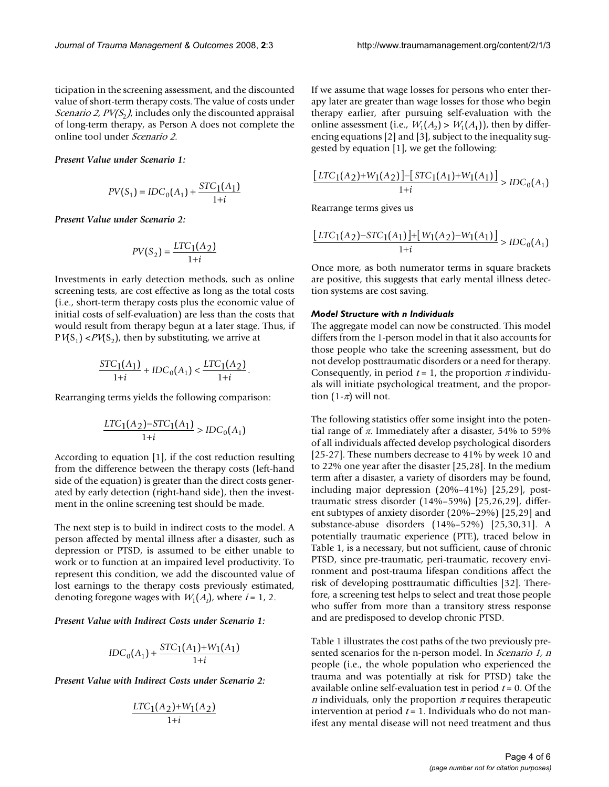ticipation in the screening assessment, and the discounted value of short-term therapy costs. The value of costs under *Scenario 2, PV(S<sub>2</sub>)*, includes only the discounted appraisal of long-term therapy, as Person A does not complete the online tool under Scenario 2.

#### *Present Value under Scenario 1:*

$$
PV(S_1) = IDC_0(A_1) + \frac{STC_1(A_1)}{1+i}
$$

*Present Value under Scenario 2:*

$$
PV(S_2) = \frac{LTC_1(A_2)}{1+i}
$$

Investments in early detection methods, such as online screening tests, are cost effective as long as the total costs (i.e., short-term therapy costs plus the economic value of initial costs of self-evaluation) are less than the costs that would result from therapy begun at a later stage. Thus, if  $P V(S_1) < P V(S_2)$ , then by substituting, we arrive at

$$
\frac{STC_1(A_1)}{1+i} + IDC_0(A_1) < \frac{LTC_1(A_2)}{1+i}.
$$

Rearranging terms yields the following comparison:

$$
\frac{LTC_1(A_2) - STC_1(A_1)}{1+i} > IDC_0(A_1)
$$

According to equation [1], if the cost reduction resulting from the difference between the therapy costs (left-hand side of the equation) is greater than the direct costs generated by early detection (right-hand side), then the investment in the online screening test should be made.

The next step is to build in indirect costs to the model. A person affected by mental illness after a disaster, such as depression or PTSD, is assumed to be either unable to work or to function at an impaired level productivity. To represent this condition, we add the discounted value of lost earnings to the therapy costs previously estimated, denoting foregone wages with  $W_1(A_t)$ , where  $i = 1, 2$ .

*Present Value with Indirect Costs under Scenario 1:*

$$
IDC_0(A_1) + \frac{STC_1(A_1) + W_1(A_1)}{1+i}
$$

*Present Value with Indirect Costs under Scenario 2:*

$$
\frac{LTC_1(A_2)+W_1(A_2)}{1+i}
$$

If we assume that wage losses for persons who enter therapy later are greater than wage losses for those who begin therapy earlier, after pursuing self-evaluation with the online assessment (i.e.,  $W_1(A_2) > W_1(A_1)$ ), then by differencing equations [2] and [3], subject to the inequality suggested by equation [1], we get the following:

$$
\frac{[LTC_1(A_2)+W_1(A_2)]-[STC_1(A_1)+W_1(A_1)]}{1+i}>IDC_0(A_1)
$$

Rearrange terms gives us

$$
\left[\frac{LTC_1(A_2) - STC_1(A_1)\right] + \left[W_1(A_2) - W_1(A_1)\right]}{1+i} > IDC_0(A_1)
$$

Once more, as both numerator terms in square brackets are positive, this suggests that early mental illness detection systems are cost saving.

#### *Model Structure with n Individuals*

The aggregate model can now be constructed. This model differs from the 1-person model in that it also accounts for those people who take the screening assessment, but do not develop posttraumatic disorders or a need for therapy. Consequently, in period  $t = 1$ , the proportion  $\pi$  individuals will initiate psychological treatment, and the proportion  $(1-\pi)$  will not.

The following statistics offer some insight into the potential range of  $\pi$ . Immediately after a disaster, 54% to 59% of all individuals affected develop psychological disorders [25-27]. These numbers decrease to 41% by week 10 and to 22% one year after the disaster [25,28]. In the medium term after a disaster, a variety of disorders may be found, including major depression (20%–41%) [25,29], posttraumatic stress disorder (14%–59%) [25,26,29], different subtypes of anxiety disorder (20%–29%) [25,29] and substance-abuse disorders (14%–52%) [25,30,31]. A potentially traumatic experience (PTE), traced below in Table 1, is a necessary, but not sufficient, cause of chronic PTSD, since pre-traumatic, peri-traumatic, recovery environment and post-trauma lifespan conditions affect the risk of developing posttraumatic difficulties [32]. Therefore, a screening test helps to select and treat those people who suffer from more than a transitory stress response and are predisposed to develop chronic PTSD.

Table 1 illustrates the cost paths of the two previously presented scenarios for the n-person model. In Scenario 1, n people (i.e., the whole population who experienced the trauma and was potentially at risk for PTSD) take the available online self-evaluation test in period  $t = 0$ . Of the *n* individuals, only the proportion  $\pi$  requires therapeutic intervention at period  $t = 1$ . Individuals who do not manifest any mental disease will not need treatment and thus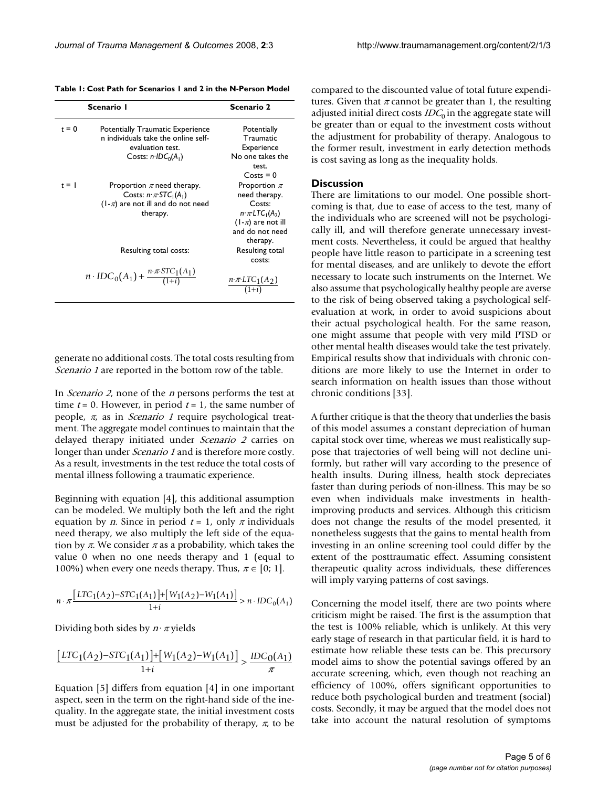**Table 1: Cost Path for Scenarios 1 and 2 in the N-Person Model**

| Scenario I |                                                                                                                                                | Scenario 2                                                                                                                                              |
|------------|------------------------------------------------------------------------------------------------------------------------------------------------|---------------------------------------------------------------------------------------------------------------------------------------------------------|
| $t = 0$    | Potentially Traumatic Experience<br>n individuals take the online self-<br>evaluation test.<br>Costs: $n$ ·IDC <sub>0</sub> (A <sub>1</sub> )  | Potentially<br>Traumatic<br>Experience<br>No one takes the<br>test.<br>$Costs = 0$                                                                      |
| $t = 1$    | Proportion $\pi$ need therapy.<br>Costs: $n \cdot \pi$ STC <sub>1</sub> (A <sub>1</sub> )<br>$(1-\pi)$ are not ill and do not need<br>therapy. | Proportion $\pi$<br>need therapy.<br>Costs:<br>$n \cdot \pi$ LTC <sub>1</sub> (A <sub>2</sub> )<br>$(1-\pi)$ are not ill<br>and do not need<br>therapy. |
|            | Resulting total costs:                                                                                                                         | Resulting total<br>costs:                                                                                                                               |
|            | $n \cdot \text{IDC}_0(A_1) + \frac{n \cdot \pi \cdot \text{STC}_1(A_1)}{(1+i)}$                                                                | $n \cdot \pi \cdot LTC_1(A_2)$                                                                                                                          |

generate no additional costs. The total costs resulting from Scenario 1 are reported in the bottom row of the table.

In *Scenario 2*, none of the *n* persons performs the test at time  $t = 0$ . However, in period  $t = 1$ , the same number of people,  $\pi$ , as in *Scenario 1* require psychological treatment. The aggregate model continues to maintain that the delayed therapy initiated under Scenario 2 carries on longer than under *Scenario 1* and is therefore more costly. As a result, investments in the test reduce the total costs of mental illness following a traumatic experience.

Beginning with equation [4], this additional assumption can be modeled. We multiply both the left and the right equation by *n*. Since in period  $t = 1$ , only  $\pi$  individuals need therapy, we also multiply the left side of the equation by  $\pi$ . We consider  $\pi$  as a probability, which takes the value 0 when no one needs therapy and 1 (equal to 100%) when every one needs therapy. Thus,  $\pi \in [0, 1]$ .

$$
n \cdot \pi \frac{\left[LTC_{1}(A_{2})-STC_{1}(A_{1})\right]+\left[W_{1}(A_{2})-W_{1}(A_{1})\right]}{1+i} > n \cdot IDC_{0}(A_{1})
$$

Dividing both sides by  $n \cdot \pi$  yields

$$
\frac{[LTC_1(A_2)-STC_1(A_1)]+[W_1(A_2)-W_1(A_1)]}{1+i} > \frac{IDC_0(A_1)}{\pi}
$$

Equation [5] differs from equation [4] in one important aspect, seen in the term on the right-hand side of the inequality. In the aggregate state, the initial investment costs must be adjusted for the probability of therapy,  $\pi$ , to be compared to the discounted value of total future expenditures. Given that  $\pi$  cannot be greater than 1, the resulting adjusted initial direct costs  $IDC<sub>0</sub>$  in the aggregate state will be greater than or equal to the investment costs without the adjustment for probability of therapy. Analogous to the former result, investment in early detection methods is cost saving as long as the inequality holds.

## **Discussion**

There are limitations to our model. One possible shortcoming is that, due to ease of access to the test, many of the individuals who are screened will not be psychologically ill, and will therefore generate unnecessary investment costs. Nevertheless, it could be argued that healthy people have little reason to participate in a screening test for mental diseases, and are unlikely to devote the effort necessary to locate such instruments on the Internet. We also assume that psychologically healthy people are averse to the risk of being observed taking a psychological selfevaluation at work, in order to avoid suspicions about their actual psychological health. For the same reason, one might assume that people with very mild PTSD or other mental health diseases would take the test privately. Empirical results show that individuals with chronic conditions are more likely to use the Internet in order to search information on health issues than those without chronic conditions [33].

A further critique is that the theory that underlies the basis of this model assumes a constant depreciation of human capital stock over time, whereas we must realistically suppose that trajectories of well being will not decline uniformly, but rather will vary according to the presence of health insults. During illness, health stock depreciates faster than during periods of non-illness. This may be so even when individuals make investments in healthimproving products and services. Although this criticism does not change the results of the model presented, it nonetheless suggests that the gains to mental health from investing in an online screening tool could differ by the extent of the posttraumatic effect. Assuming consistent therapeutic quality across individuals, these differences will imply varying patterns of cost savings.

Concerning the model itself, there are two points where criticism might be raised. The first is the assumption that the test is 100% reliable, which is unlikely. At this very early stage of research in that particular field, it is hard to estimate how reliable these tests can be. This precursory model aims to show the potential savings offered by an accurate screening, which, even though not reaching an efficiency of 100%, offers significant opportunities to reduce both psychological burden and treatment (social) costs. Secondly, it may be argued that the model does not take into account the natural resolution of symptoms